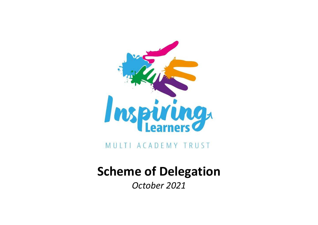

MULTI ACADEMY TRUST

# **Scheme of Delegation**

*October 2021*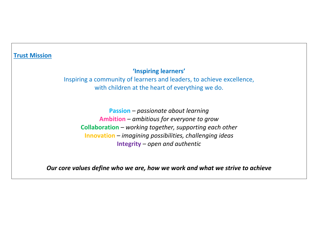## **Trust Mission**

## **'Inspiring learners'**

Inspiring a community of learners and leaders, to achieve excellence, with children at the heart of everything we do.

**Passion** *– passionate about learning* **Ambition** *– ambitious for everyone to grow* **Collaboration** *– working together, supporting each other* **Innovation** *– imagining possibilities, challenging ideas* **Integrity** *– open and authentic*

*Our core values define who we are, how we work and what we strive to achieve*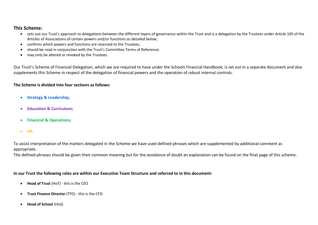### **This Scheme:**

- sets out our Trust's approach to delegations between the different layers of governance within the Trust and is a delegation by the Trustees under Article 105 of the Articles of Associations of certain powers and/or functions as detailed below;
- confirms which powers and functions are reserved to the Trustees;
- should be read in conjunction with the Trust's Committee Terms of Reference;
- may only be altered or revoked by the Trustees.

Our Trust's Scheme of Financial Delegation, which we are required to have under the Schools Financial Handbook, is set out in a separate document and also supplements this Scheme in respect of the delegation of financial powers and the operation of robust internal controls.

#### **The Scheme is divided into four sections as follows:**

- **•** Strategy & Leadership:
- **Education & Curriculum;**
- **Financial & Operations;**
- **HR.**

To assist interpretation of the matters delegated in the Scheme we have used defined phrases which are supplemented by additional comment as appropriate.

The defined phrases should be given their common meaning but for the avoidance of doubt an explanation can be found on the final page of this scheme.

#### **In our Trust the following roles are within our Executive Team Structure and referred to in this document:**

- **Head of Trust** (HoT) this is the CEO
- **Trust Finance Director** (TFD) this is the CFO
- **Head of School** (HoS)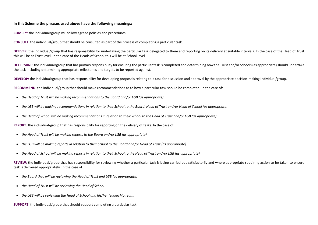#### **In this Scheme the phrases used above have the following meanings:**

**COMPLY**: the individual/group will follow agreed policies and procedures.

**CONSULT**: the individual/group that should be consulted as part of the process of completing a particular task.

**DELIVER**: the individual/group that has responsibility for undertaking the particular task delegated to them and reporting on its delivery at suitable intervals. In the case of the Head of Trust this will be at Trust level. In the case of the Heads of School this will be at School level.

**DETERMINE**: the individual/group that has primary responsibility for ensuring the particular task is completed and determining how the Trust and/or Schools (as appropriate) should undertake the task including determining appropriate milestones and targets to be reported against.

**DEVELOP**: the individual/group that has responsibility for developing proposals relating to a task for discussion and approval by the appropriate decision-making individual/group.

**RECOMMEND:** the individual/group that should make recommendations as to how a particular task should be completed. In the case of:

- *the Head of Trust will be making recommendations to the Board and/or LGB (as appropriate)*
- *the LGB will be making recommendations in relation to their School to the Board, Head of Trust and/or Head of School (as appropriate)*
- the Head of School will be making recommendations in relation to their School to the Head of Trust and/or LGB (as appropriate)

**REPORT**: the individual/group that has responsibility for reporting on the delivery of tasks. In the case of:

- *the Head of Trust will be making reports to the Board and/or LGB (as appropriate)*
- the LGB will be making reports in relation to their School to the Board and/or Head of Trust (as appropriate)
- the Head of School will be making reports in relation to their School to the Head of Trust and/or LGB (as appropriate).

REVIEW: the individual/group that has responsibility for reviewing whether a particular task is being carried out satisfactorily and where appropriate requiring action to be taken to ensure task is delivered appropriately. In the case of:

- *the Board they will be reviewing the Head of Trust and LGB (as appropriate)*
- *the Head of Trust will be reviewing the Head of School*
- *the LGB will be reviewing the Head of School and his/her leadership team.*

**SUPPORT:** the individual/group that should support completing a particular task.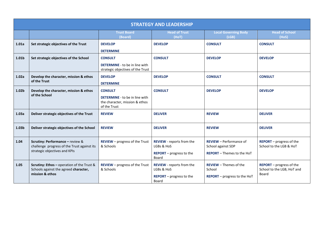|                   | <b>STRATEGY AND LEADERSHIP</b>                                                                                   |                                                                                                           |                                                                                            |                                                                                           |                                                                        |  |  |
|-------------------|------------------------------------------------------------------------------------------------------------------|-----------------------------------------------------------------------------------------------------------|--------------------------------------------------------------------------------------------|-------------------------------------------------------------------------------------------|------------------------------------------------------------------------|--|--|
|                   |                                                                                                                  | <b>Trust Board</b><br>(Board)                                                                             | <b>Head of Trust</b><br>(HoT)                                                              | <b>Local Governing Body</b><br>(LGB)                                                      | <b>Head of School</b><br>(HoS)                                         |  |  |
| 1.01a             | Set strategic objectives of the Trust                                                                            | <b>DEVELOP</b><br><b>DETERMINE</b>                                                                        | <b>DEVELOP</b>                                                                             | <b>CONSULT</b>                                                                            | <b>CONSULT</b>                                                         |  |  |
| 1.01b             | Set strategic objectives of the School                                                                           | <b>CONSULT</b><br><b>DETERMINE</b> - to be in line with<br>strategic objectives of the Trust              | <b>CONSULT</b>                                                                             | <b>DEVELOP</b>                                                                            | <b>DEVELOP</b>                                                         |  |  |
| 1.02a             | Develop the character, mission & ethos<br>of the Trust                                                           | <b>DEVELOP</b><br><b>DETERMINE</b>                                                                        | <b>DEVELOP</b>                                                                             | <b>CONSULT</b>                                                                            | <b>CONSULT</b>                                                         |  |  |
| 1.02b             | Develop the character, mission & ethos<br>of the School                                                          | <b>CONSULT</b><br><b>DETERMINE</b> - to be in line with<br>the character, mission & ethos<br>of the Trust | <b>CONSULT</b>                                                                             | <b>DEVELOP</b>                                                                            | <b>DEVELOP</b>                                                         |  |  |
| 1.03a             | Deliver strategic objectives of the Trust                                                                        | <b>REVIEW</b>                                                                                             | <b>DELIVER</b>                                                                             | <b>REVIEW</b>                                                                             | <b>DELIVER</b>                                                         |  |  |
| 1.03 <sub>b</sub> | Deliver strategic objectives of the School                                                                       | <b>REVIEW</b>                                                                                             | <b>DELIVER</b>                                                                             | <b>REVIEW</b>                                                                             | <b>DELIVER</b>                                                         |  |  |
| 1.04              | Scrutiny: Performance - review &<br>challenge progress of the Trust against its<br>strategic objectives and KPIs | <b>REVIEW</b> - progress of the Trust<br>& Schools                                                        | <b>REVIEW</b> - reports from the<br>LGBs & HoS<br><b>REPORT</b> - progress to the<br>Board | <b>REVIEW</b> - Performance of<br>School against SDP<br><b>REPORT</b> - Themes to the HoT | <b>REPORT</b> - progress of the<br>School to the LGB & HoT             |  |  |
| 1.05              | Scrutiny: Ethos - operation of the Trust &<br>Schools against the agreed character,<br>mission & ethos           | <b>REVIEW</b> - progress of the Trust<br>& Schools                                                        | <b>REVIEW</b> - reports from the<br>LGBs & HoS<br><b>REPORT</b> - progress to the<br>Board | <b>REVIEW</b> - Themes of the<br>School<br><b>REPORT</b> – progress to the HoT            | <b>REPORT</b> – progress of the<br>School to the LGB, HoT and<br>Board |  |  |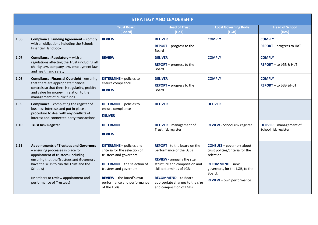|      | <b>STRATEGY AND LEADERSHIP</b>                                                                                                                                                                                                                                                                 |                                                                                                                                                                                                                                              |                                                                                                                                                                                                                                                         |                                                                                                                                                                                           |                                                 |  |  |
|------|------------------------------------------------------------------------------------------------------------------------------------------------------------------------------------------------------------------------------------------------------------------------------------------------|----------------------------------------------------------------------------------------------------------------------------------------------------------------------------------------------------------------------------------------------|---------------------------------------------------------------------------------------------------------------------------------------------------------------------------------------------------------------------------------------------------------|-------------------------------------------------------------------------------------------------------------------------------------------------------------------------------------------|-------------------------------------------------|--|--|
|      |                                                                                                                                                                                                                                                                                                | <b>Trust Board</b><br>(Board)                                                                                                                                                                                                                | <b>Head of Trust</b><br>(HoT)                                                                                                                                                                                                                           | <b>Local Governing Body</b><br>(LGB)                                                                                                                                                      | <b>Head of School</b><br>(HoS)                  |  |  |
| 1.06 | Compliance: Funding Agreement - comply<br>with all obligations including the Schools<br><b>Financial Handbook</b>                                                                                                                                                                              | <b>REVIEW</b>                                                                                                                                                                                                                                | <b>DELIVER</b><br><b>REPORT</b> - progress to the<br>Board                                                                                                                                                                                              | <b>COMPLY</b>                                                                                                                                                                             | <b>COMPLY</b><br>REPORT - progress to HoT       |  |  |
| 1.07 | Compliance: Regulatory - with all<br>regulations affecting the Trust (including all<br>charity law, company law, employment law<br>and health and safety)                                                                                                                                      | <b>REVIEW</b>                                                                                                                                                                                                                                | <b>DELIVER</b><br><b>REPORT</b> - progress to the<br>Board                                                                                                                                                                                              | <b>COMPLY</b>                                                                                                                                                                             | <b>COMPLY</b><br><b>REPORT</b> - to LGB & HoT   |  |  |
| 1.08 | <b>Compliance: Financial Oversight - ensuring</b><br>that there are appropriate financial<br>controls so that there is regularity, probity<br>and value for money in relation to the<br>management of public funds                                                                             | <b>DETERMINE</b> - policies to<br>ensure compliance<br><b>REVIEW</b>                                                                                                                                                                         | <b>DELIVER</b><br><b>REPORT</b> – progress to the<br>Board                                                                                                                                                                                              | <b>COMPLY</b>                                                                                                                                                                             | <b>COMPLY</b><br><b>REPORT</b> - to LGB & HoT   |  |  |
| 1.09 | <b>Compliance - completing the register of</b><br>business interests and put in place a<br>procedure to deal with any conflicts of<br>interest and connected party transactions                                                                                                                | <b>DETERMINE</b> - policies to<br>ensure compliance<br><b>DELIVER</b>                                                                                                                                                                        | <b>DELIVER</b>                                                                                                                                                                                                                                          | <b>DELIVER</b>                                                                                                                                                                            |                                                 |  |  |
| 1.10 | <b>Trust Risk Register</b>                                                                                                                                                                                                                                                                     | <b>DETERMINE</b><br><b>REVIEW</b>                                                                                                                                                                                                            | DELIVER - management of<br>Trust risk register                                                                                                                                                                                                          | <b>REVIEW</b> - School risk register                                                                                                                                                      | DELIVER - management of<br>School risk register |  |  |
| 1.11 | <b>Appointments of Trustees and Governors</b><br>- ensuring processes in place for<br>appointment of trustees (including<br>ensuring that the Trustees and Governors<br>have the skills to run the Trust and the<br>Schools)<br>(Members to review appointment and<br>performance of Trustees) | <b>DETERMINE</b> - policies and<br>criteria for the selection of<br>trustees and governors<br><b>DETERMINE</b> - the selection of<br>trustees and governors<br><b>REVIEW</b> - the Board's own<br>performance and performance<br>of the LGBs | <b>REPORT</b> - to the board on the<br>performance of the LGBs<br>REVIEW - annually the size,<br>structure and composition and<br>skill determines of LGBs<br><b>RECOMMEND - to Board</b><br>appropriate changes to the size<br>and composition of LGBs | <b>CONSULT</b> - governors about<br>trust policies/criteria for the<br>selection<br><b>RECOMMEND - new</b><br>governors, for the LGB, to the<br>Board.<br><b>REVIEW</b> - own performance |                                                 |  |  |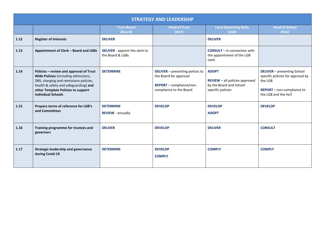|      | <b>STRATEGY AND LEADERSHIP</b>                                                                                                                                                                                                 |                                                           |                                                                                                                         |                                                                                                |                                                                                                                                         |  |  |  |
|------|--------------------------------------------------------------------------------------------------------------------------------------------------------------------------------------------------------------------------------|-----------------------------------------------------------|-------------------------------------------------------------------------------------------------------------------------|------------------------------------------------------------------------------------------------|-----------------------------------------------------------------------------------------------------------------------------------------|--|--|--|
|      |                                                                                                                                                                                                                                | <b>Trust Board</b><br>(Board)                             | <b>Head of Trust</b><br>(HoT)                                                                                           | <b>Local Governing Body</b><br>(LGB)                                                           | <b>Head of School</b><br>(HoS)                                                                                                          |  |  |  |
| 1.12 | <b>Register of Interests</b>                                                                                                                                                                                                   | <b>DELIVER</b>                                            |                                                                                                                         | <b>DELIVER</b>                                                                                 |                                                                                                                                         |  |  |  |
| 1.13 | Appointment of Clerk - Board and LGBs                                                                                                                                                                                          | <b>DELIVER</b> - appoint the clerk to<br>the Board & LGBs |                                                                                                                         | <b>CONSULT</b> - in connection with<br>the appointment of the LGB<br>clerk                     |                                                                                                                                         |  |  |  |
| 1.14 | Policies - review and approval of Trust<br>Wide Policies (including admissions,<br>DBS, charging and remissions policies,<br>health & safety and safeguarding) and<br>other Template Policies to support<br>individual Schools | <b>DETERMINE</b>                                          | <b>DELIVER</b> - presenting polices to<br>the Board for approval<br>REPORT - compliance/non-<br>compliance to the Board | <b>ADOPT</b><br>REVIEW - all policies approved<br>by the Board and School<br>specific policies | <b>DELIVER</b> - presenting School<br>specific policies for approval by<br>the LGB<br>REPORT - non-compliance to<br>the LGB and the HoT |  |  |  |
| 1.15 | Prepare terms of reference for LGB's<br>and Committees                                                                                                                                                                         | <b>DETERMINE</b><br><b>REVIEW</b> - annually              | <b>DEVELOP</b>                                                                                                          | <b>DEVELOP</b><br><b>ADOPT</b>                                                                 | <b>DEVELOP</b>                                                                                                                          |  |  |  |
| 1.16 | Training programme for trustees and<br>governors                                                                                                                                                                               | <b>DELIVER</b>                                            | <b>DEVELOP</b>                                                                                                          | <b>DELIVER</b>                                                                                 | <b>CONSULT</b>                                                                                                                          |  |  |  |
| 1.17 | <b>Strategic leadership and governance</b><br>during Covid-19                                                                                                                                                                  | <b>DETERMINE</b>                                          | <b>DEVELOP</b><br><b>COMPLY</b>                                                                                         | <b>COMPLY</b>                                                                                  | <b>COMPLY</b>                                                                                                                           |  |  |  |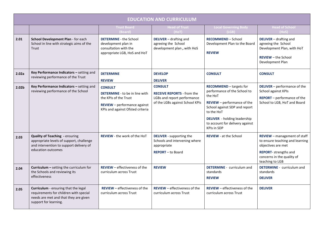|                   | <b>EDUCATION AND CURRICULUM</b>                                                                                                                    |                                                                                                                                                             |                                                                                                                       |                                                                                                                                                                                                                                                                |                                                                                                                                                                               |  |  |
|-------------------|----------------------------------------------------------------------------------------------------------------------------------------------------|-------------------------------------------------------------------------------------------------------------------------------------------------------------|-----------------------------------------------------------------------------------------------------------------------|----------------------------------------------------------------------------------------------------------------------------------------------------------------------------------------------------------------------------------------------------------------|-------------------------------------------------------------------------------------------------------------------------------------------------------------------------------|--|--|
|                   |                                                                                                                                                    | <b>Trust Board</b><br>(Board)                                                                                                                               | <b>Head of Trust</b><br>(HoT)                                                                                         | <b>Local Governing Body</b><br>(LGB)                                                                                                                                                                                                                           | <b>Head of School</b><br>(HoS)                                                                                                                                                |  |  |
| 2.01              | School Development Plan - for each<br>School in line with strategic aims of the<br>Trust                                                           | <b>DETERMINE - the School</b><br>development plan in<br>consultation with the<br>appropriate LGB, HoS and HoT                                               | <b>DELIVER</b> - drafting and<br>agreeing the School<br>development plan, with HoS                                    | <b>RECOMMEND - School</b><br>Development Plan to the Board<br><b>REVIEW</b>                                                                                                                                                                                    | <b>DELIVER</b> - drafting and<br>agreeing the School<br>Development Plan, with HoT<br><b>REVIEW</b> – the School<br>Development Plan                                          |  |  |
| 2.02a             | Key Performance Indicators - setting and<br>reviewing performance of the Trust                                                                     | <b>DETERMINE</b><br><b>REVIEW</b>                                                                                                                           | <b>DEVELOP</b><br><b>DELIVER</b>                                                                                      | <b>CONSULT</b>                                                                                                                                                                                                                                                 | <b>CONSULT</b>                                                                                                                                                                |  |  |
| 2.02 <sub>b</sub> | Key Performance Indicators - setting and<br>reviewing performance of the School                                                                    | <b>CONSULT</b><br><b>DETERMINE</b> - to be in line with<br>the KPIs of the Trust<br><b>REVIEW</b> - performance against<br>KPIs and against Ofsted criteria | <b>CONSULT</b><br><b>RECEIVE REPORTS - from the</b><br>LGBs and report performance<br>of the LGBs against School KPIs | <b>RECOMMEND</b> - targets for<br>performance of the School to<br>the HoT<br><b>REVIEW</b> - performance of the<br>School against SDP and report<br>to the HoT<br><b>DELIVER</b> - holding leadership<br>to account for delivery against<br><b>KPIs in SDP</b> | DELIVER - performance of the<br>School against KPIs<br><b>REPORT</b> – performance of the<br>School to LGB, HoT and Board                                                     |  |  |
| 2.03              | <b>Quality of Teaching - ensuring</b><br>appropriate levels of support, challenge<br>and intervention to support delivery of<br>education outcomes | <b>REVIEW - the work of the HoT</b>                                                                                                                         | <b>DELIVER</b> - supporting the<br>Schools and intervening where<br>appropriate<br><b>REPORT</b> - to Board           | <b>REVIEW - at the School</b>                                                                                                                                                                                                                                  | <b>REVIEW</b> - management of staff<br>to ensure teaching and learning<br>objectives are met<br><b>REPORT-</b> strengths and<br>concerns in the quality of<br>teaching to LGB |  |  |
| 2.04              | Curriculum - setting the curriculum for<br>the Schools and reviewing its<br>effectiveness                                                          | <b>REVIEW</b> – effectiveness of the<br>curriculum across Trust                                                                                             | <b>REVIEW</b>                                                                                                         | <b>DETERMINE - curriculum and</b><br>standards<br><b>REVIEW</b>                                                                                                                                                                                                | <b>DETERMINE - curriculum and</b><br>standards<br><b>DELIVER</b>                                                                                                              |  |  |
| 2.05              | Curriculum - ensuring that the legal<br>requirements for children with special<br>needs are met and that they are given<br>support for learning.   | <b>REVIEW</b> - effectiveness of the<br>curriculum across Trust                                                                                             | <b>REVIEW</b> - effectiveness of the<br>curriculum across Trust                                                       | <b>REVIEW</b> - effectiveness of the<br>curriculum across Trust                                                                                                                                                                                                | <b>DELIVER</b>                                                                                                                                                                |  |  |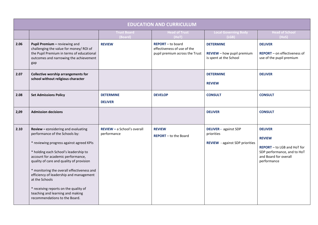|      | <b>EDUCATION AND CURRICULUM</b>                                                                                                                                                                                                                                                                                                                                                                                                                                      |                                            |                                                                                           |                                                                                      |                                                                                                                                              |  |  |
|------|----------------------------------------------------------------------------------------------------------------------------------------------------------------------------------------------------------------------------------------------------------------------------------------------------------------------------------------------------------------------------------------------------------------------------------------------------------------------|--------------------------------------------|-------------------------------------------------------------------------------------------|--------------------------------------------------------------------------------------|----------------------------------------------------------------------------------------------------------------------------------------------|--|--|
|      |                                                                                                                                                                                                                                                                                                                                                                                                                                                                      | <b>Trust Board</b><br>(Board)              | <b>Head of Trust</b><br>(HoT)                                                             | <b>Local Governing Body</b><br>(LGB)                                                 | <b>Head of School</b><br>(HoS)                                                                                                               |  |  |
| 2.06 | Pupil Premium - reviewing and<br>challenging the value for money/ROI of<br>the Pupil Premium in terms of educational<br>outcomes and narrowing the achievement<br>gap                                                                                                                                                                                                                                                                                                | <b>REVIEW</b>                              | <b>REPORT</b> - to board<br>effectiveness of use of the<br>pupil premium across the Trust | <b>DETERMINE</b><br><b>REVIEW</b> - how pupil premium<br>is spent at the School      | <b>DELIVER</b><br>REPORT - on effectiveness of<br>use of the pupil premium                                                                   |  |  |
| 2.07 | <b>Collective worship arrangements for</b><br>school without religious character                                                                                                                                                                                                                                                                                                                                                                                     |                                            |                                                                                           | <b>DETERMINE</b><br><b>REVIEW</b>                                                    | <b>DELIVER</b>                                                                                                                               |  |  |
| 2.08 | <b>Set Admissions Policy</b>                                                                                                                                                                                                                                                                                                                                                                                                                                         | <b>DETERMINE</b><br><b>DELIVER</b>         | <b>DEVELOP</b>                                                                            | <b>CONSULT</b>                                                                       | <b>CONSULT</b>                                                                                                                               |  |  |
| 2,09 | <b>Admission decisions</b>                                                                                                                                                                                                                                                                                                                                                                                                                                           |                                            |                                                                                           | <b>DELIVER</b>                                                                       | <b>CONSULT</b>                                                                                                                               |  |  |
| 2.10 | Review - considering and evaluating<br>performance of the Schools by:<br>* reviewing progress against agreed KPIs<br>* holding each School's leadership to<br>account for academic performance,<br>quality of care and quality of provision<br>* monitoring the overall effectiveness and<br>efficiency of leadership and management<br>at the Schools<br>* receiving reports on the quality of<br>teaching and learning and making<br>recommendations to the Board. | REVIEW - a School's overall<br>performance | <b>REVIEW</b><br><b>REPORT</b> - to the Board                                             | <b>DELIVER</b> - against SDP<br>priorities<br><b>REVIEW</b> - against SDP priorities | <b>DELIVER</b><br><b>REVIEW</b><br><b>REPORT</b> – to LGB and HoT for<br>SDP performance, and to HoT<br>and Board for overall<br>performance |  |  |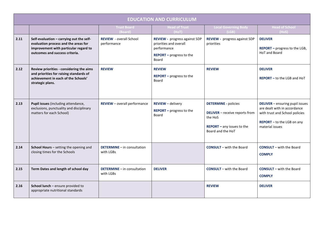|      | <b>EDUCATION AND CURRICULUM</b>                                                                                                                             |                                                 |                                                                                                                    |                                                                                                                                      |                                                                                                                                                           |  |  |  |
|------|-------------------------------------------------------------------------------------------------------------------------------------------------------------|-------------------------------------------------|--------------------------------------------------------------------------------------------------------------------|--------------------------------------------------------------------------------------------------------------------------------------|-----------------------------------------------------------------------------------------------------------------------------------------------------------|--|--|--|
|      |                                                                                                                                                             | <b>Trust Board</b><br>(Board)                   | <b>Head of Trust</b><br>(HoT)                                                                                      | <b>Local Governing Body</b><br>(LGB)                                                                                                 | <b>Head of School</b><br>(HoS)                                                                                                                            |  |  |  |
| 2.11 | Self-evaluation - carrying out the self-<br>evaluation process and the areas for<br>improvement with particular regard to<br>outcomes and success criteria. | <b>REVIEW</b> - overall School<br>performance   | REVIEW - progress against SDP<br>priorities and overall<br>performance<br><b>REPORT</b> - progress to the<br>Board | REVIEW - progress against SDP<br>priorities                                                                                          | <b>DELIVER</b><br>REPORT - progress to the LGB,<br>HoT and Board                                                                                          |  |  |  |
| 2.12 | Review priorities - considering the aims<br>and priorities for raising standards of<br>achievement in each of the Schools'<br>strategic plans.              | <b>REVIEW</b>                                   | <b>REVIEW</b><br><b>REPORT</b> $-$ progress to the<br>Board                                                        | <b>REVIEW</b>                                                                                                                        | <b>DELIVER</b><br>REPORT - to the LGB and HoT                                                                                                             |  |  |  |
| 2.13 | Pupil issues (including attendance,<br>exclusions, punctuality and disciplinary<br>matters for each School)                                                 | <b>REVIEW</b> - overall performance             | <b>REVIEW</b> - delivery<br><b>REPORT</b> - progress to the<br>Board                                               | <b>DETERMINE - policies</b><br><b>DELIVER</b> - receive reports from<br>the HoS<br>$REPORT - any issues to the$<br>Board and the HoT | <b>DELIVER</b> - ensuring pupil issues<br>are dealt with in accordance<br>with trust and School policies<br>REPORT - to the LGB on any<br>material issues |  |  |  |
| 2.14 | School Hours - setting the opening and<br>closing times for the Schools                                                                                     | DETERMINE - in consultation<br>with LGBs        |                                                                                                                    | <b>CONSULT</b> - with the Board                                                                                                      | <b>CONSULT</b> – with the Board<br><b>COMPLY</b>                                                                                                          |  |  |  |
| 2.15 | Term Dates and length of school day                                                                                                                         | <b>DETERMINE</b> - in consultation<br>with LGBs | <b>DELIVER</b>                                                                                                     | <b>CONSULT</b> – with the Board                                                                                                      | <b>CONSULT</b> – with the Board<br><b>COMPLY</b>                                                                                                          |  |  |  |
| 2.16 | School lunch - ensure provided to<br>appropriate nutritional standards                                                                                      |                                                 |                                                                                                                    | <b>REVIEW</b>                                                                                                                        | <b>DELIVER</b>                                                                                                                                            |  |  |  |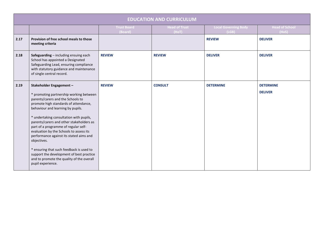|      | <b>EDUCATION AND CURRICULUM</b>                                                                                                                                                                                                                                                                                                                                                                                                                                                                                                                                                     |                               |                               |                                      |                                    |  |  |
|------|-------------------------------------------------------------------------------------------------------------------------------------------------------------------------------------------------------------------------------------------------------------------------------------------------------------------------------------------------------------------------------------------------------------------------------------------------------------------------------------------------------------------------------------------------------------------------------------|-------------------------------|-------------------------------|--------------------------------------|------------------------------------|--|--|
|      |                                                                                                                                                                                                                                                                                                                                                                                                                                                                                                                                                                                     | <b>Trust Board</b><br>(Board) | <b>Head of Trust</b><br>(HoT) | <b>Local Governing Body</b><br>(LGB) | <b>Head of School</b><br>(HoS)     |  |  |
| 2.17 | Provision of free school meals to those<br>meeting criteria                                                                                                                                                                                                                                                                                                                                                                                                                                                                                                                         |                               |                               | <b>REVIEW</b>                        | <b>DELIVER</b>                     |  |  |
| 2.18 | Safeguarding - including ensuing each<br>School has appointed a Designated<br>Safeguarding Lead, ensuring compliance<br>with statutory guidance and maintenance<br>of single central record.                                                                                                                                                                                                                                                                                                                                                                                        | <b>REVIEW</b>                 | <b>REVIEW</b>                 | <b>DELIVER</b>                       | <b>DELIVER</b>                     |  |  |
| 2.19 | Stakeholder Engagement-<br>* promoting partnership working between<br>parents/carers and the Schools to<br>promote high standards of attendance,<br>behaviour and learning by pupils.<br>* undertaking consultation with pupils,<br>parents/carers and other stakeholders as<br>part of a programme of regular self-<br>evaluation by the Schools to assess its<br>performance against its stated aims and<br>objectives.<br>* ensuring that such feedback is used to<br>support the development of best practice<br>and to promote the quality of the overall<br>pupil experience. | <b>REVIEW</b>                 | <b>CONSULT</b>                | <b>DETERMINE</b>                     | <b>DETERMINE</b><br><b>DELIVER</b> |  |  |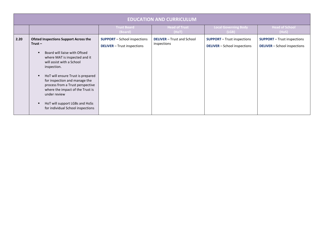|      | <b>EDUCATION AND CURRICULUM</b>                                                                                                                                                                                                                                                                                                                                                                                                     |                                                                           |                                                  |                                                                           |                                                                           |  |  |  |  |
|------|-------------------------------------------------------------------------------------------------------------------------------------------------------------------------------------------------------------------------------------------------------------------------------------------------------------------------------------------------------------------------------------------------------------------------------------|---------------------------------------------------------------------------|--------------------------------------------------|---------------------------------------------------------------------------|---------------------------------------------------------------------------|--|--|--|--|
|      |                                                                                                                                                                                                                                                                                                                                                                                                                                     | <b>Trust Board</b><br>(Board)                                             | <b>Head of Trust</b><br>(HoT)                    | <b>Local Governing Body</b><br>(LGB)                                      | <b>Head of School</b><br>(HoS)                                            |  |  |  |  |
| 2.20 | <b>Ofsted Inspections Support Across the</b><br>$Trust -$<br>Board will liaise with Oftsed<br>$\blacksquare$<br>where MAT is inspected and it<br>will assist with a School<br>inspection.<br>HoT will ensure Trust is prepared<br>п<br>for inspection and manage the<br>process from a Trust perspective<br>where the impact of the Trust is<br>under review<br>HoT will support LGBs and HoSs<br>for individual School inspections | <b>SUPPORT</b> - School inspections<br><b>DELIVER</b> - Trust inspections | <b>DELIVER</b> - Trust and School<br>inspections | <b>SUPPORT</b> - Trust inspections<br><b>DELIVER</b> - School inspections | <b>SUPPORT</b> - Trust inspections<br><b>DELIVER</b> - School inspections |  |  |  |  |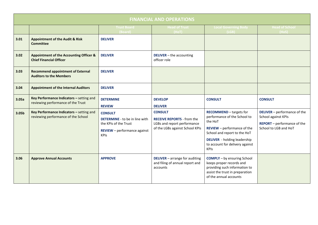|       | <b>FINANCIAL AND OPERATIONS</b>                                                 |                                                                                                                                        |                                                                                                                       |                                                                                                                                                                                                                                          |                                                                                                                    |  |  |
|-------|---------------------------------------------------------------------------------|----------------------------------------------------------------------------------------------------------------------------------------|-----------------------------------------------------------------------------------------------------------------------|------------------------------------------------------------------------------------------------------------------------------------------------------------------------------------------------------------------------------------------|--------------------------------------------------------------------------------------------------------------------|--|--|
|       |                                                                                 | <b>Trust Board</b><br>(Board)                                                                                                          | <b>Head of Trust</b><br>(HoT)                                                                                         | <b>Local Governing Body</b><br>(LGB)                                                                                                                                                                                                     | <b>Head of School</b><br>(HoS)                                                                                     |  |  |
| 3.01  | <b>Appointment of the Audit &amp; Risk</b><br><b>Committee</b>                  | <b>DELIVER</b>                                                                                                                         |                                                                                                                       |                                                                                                                                                                                                                                          |                                                                                                                    |  |  |
| 3.02  | Appointment of the Accounting Officer &<br><b>Chief Financial Officer</b>       | <b>DELIVER</b>                                                                                                                         | DELIVER - the accounting<br>officer role                                                                              |                                                                                                                                                                                                                                          |                                                                                                                    |  |  |
| 3.03  | <b>Recommend appointment of External</b><br><b>Auditors to the Members</b>      | <b>DELIVER</b>                                                                                                                         |                                                                                                                       |                                                                                                                                                                                                                                          |                                                                                                                    |  |  |
| 3.04  | <b>Appointment of the Internal Auditors</b>                                     | <b>DELIVER</b>                                                                                                                         |                                                                                                                       |                                                                                                                                                                                                                                          |                                                                                                                    |  |  |
| 3.05a | Key Performance Indicators - setting and<br>reviewing performance of the Trust  | <b>DETERMINE</b><br><b>REVIEW</b>                                                                                                      | <b>DEVELOP</b><br><b>DELIVER</b>                                                                                      | <b>CONSULT</b>                                                                                                                                                                                                                           | <b>CONSULT</b>                                                                                                     |  |  |
| 3.05b | Key Performance Indicators - setting and<br>reviewing performance of the School | <b>CONSULT</b><br><b>DETERMINE</b> - to be in line with<br>the KPIs of the Trust<br><b>REVIEW</b> - performance against<br><b>KPIs</b> | <b>CONSULT</b><br><b>RECEIVE REPORTS - from the</b><br>LGBs and report performance<br>of the LGBs against School KPIs | <b>RECOMMEND</b> - targets for<br>performance of the School to<br>the HoT<br><b>REVIEW</b> - performance of the<br>School and report to the HoT<br><b>DELIVER</b> - holding leadership<br>to account for delivery against<br><b>KPIs</b> | DELIVER - performance of the<br>School against KPIs<br><b>REPORT</b> – performance of the<br>School to LGB and HoT |  |  |
| 3.06  | <b>Approve Annual Accounts</b>                                                  | <b>APPROVE</b>                                                                                                                         | DELIVER - arrange for auditing<br>and filing of annual report and<br>accounts                                         | <b>COMPLY</b> - by ensuring School<br>keeps proper records and<br>providing such information to<br>assist the trust in preparation<br>of the annual accounts                                                                             |                                                                                                                    |  |  |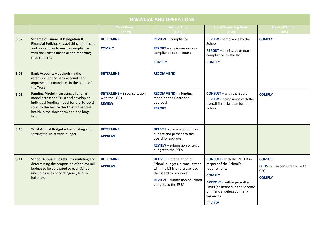|      | <b>FINANCIAL AND OPERATIONS</b>                                                                                                                                                                                        |                                                                      |                                                                                                                                                                                            |                                                                                                                                                                                                                                       |                                                                                 |  |  |
|------|------------------------------------------------------------------------------------------------------------------------------------------------------------------------------------------------------------------------|----------------------------------------------------------------------|--------------------------------------------------------------------------------------------------------------------------------------------------------------------------------------------|---------------------------------------------------------------------------------------------------------------------------------------------------------------------------------------------------------------------------------------|---------------------------------------------------------------------------------|--|--|
|      |                                                                                                                                                                                                                        | <b>Trust Board</b><br>(Board)                                        | <b>Head of Trust</b><br>(HoT)                                                                                                                                                              | <b>Local Governing Body</b><br>(LGB)                                                                                                                                                                                                  | <b>Head of School</b><br>(HoS)                                                  |  |  |
| 3.07 | <b>Scheme of Financial Delegation &amp;</b><br>Financial Policies - establishing of policies<br>and procedures to ensure compliance<br>with the Trust's financial and reporting<br>requirements                        | <b>DETERMINE</b><br><b>COMPLY</b>                                    | REVIEW - compliance<br>REPORT - any issues or non-<br>compliance to the Board<br><b>COMPLY</b>                                                                                             | <b>REVIEW</b> - compliance by the<br>School<br>REPORT - any issues or non-<br>compliance to the HoT<br><b>COMPLY</b>                                                                                                                  | <b>COMPLY</b>                                                                   |  |  |
| 3.08 | <b>Bank Accounts - authorising the</b><br>establishment of bank accounts and<br>approve bank mandates in the name of<br>the Trust                                                                                      | <b>DETERMINE</b>                                                     | <b>RECOMMEND</b>                                                                                                                                                                           |                                                                                                                                                                                                                                       |                                                                                 |  |  |
| 3.09 | Funding Model - agreeing a funding<br>model across the Trust and develop an<br>individual funding model for the Schools)<br>so as to the secure the Trust's financial<br>health in the short term and the long<br>term | <b>DETERMINE</b> - in consultation<br>with the LGBs<br><b>REVIEW</b> | <b>RECOMMEND - a funding</b><br>model to the Board for<br>approval<br><b>REPORT</b>                                                                                                        | <b>CONSULT</b> – with the Board<br>REVIEW - compliance with the<br>overall financial plan for the<br>School                                                                                                                           | <b>COMPLY</b>                                                                   |  |  |
| 3.10 | Trust Annual Budget - formulating and<br>setting the Trust wide budget                                                                                                                                                 | <b>DETERMINE</b><br><b>APPROVE</b>                                   | <b>DELIVER</b> - preparation of trust<br>budget and present to the<br>Board for approval<br><b>REVIEW</b> – submission of trust<br>budget to the ESFA                                      |                                                                                                                                                                                                                                       |                                                                                 |  |  |
| 3.11 | School Annual Budgets - formulating and<br>determining the proportion of the overall<br>budget to be delegated to each School<br>(including uses of contingency funds/<br>balances)                                    | <b>DETERMINE</b><br><b>APPROVE</b>                                   | <b>DELIVER</b> - preparation of<br>School budgets in consultation<br>with the LGBs and present to<br>the Board for approval<br><b>REVIEW</b> – submission of School<br>budgets to the EFSA | <b>CONSULT</b> - with HoT & TFD in<br>respect of the School's<br>requirements<br><b>COMPLY</b><br><b>APPROVE</b> - within permitted<br>limits (as defined in the scheme<br>of financial delegation) any<br>variances<br><b>REVIEW</b> | <b>CONSULT</b><br><b>DELIVER</b> – in consultation with<br>CFO<br><b>COMPLY</b> |  |  |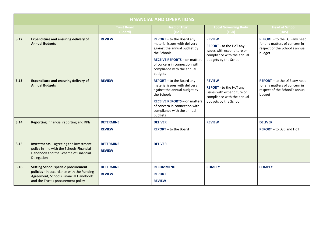|      | <b>FINANCIAL AND OPERATIONS</b>                                                                                                                                        |                                   |                                                                                                                                                                                                                                   |                                                                                                                               |                                                                                                                  |  |  |
|------|------------------------------------------------------------------------------------------------------------------------------------------------------------------------|-----------------------------------|-----------------------------------------------------------------------------------------------------------------------------------------------------------------------------------------------------------------------------------|-------------------------------------------------------------------------------------------------------------------------------|------------------------------------------------------------------------------------------------------------------|--|--|
|      |                                                                                                                                                                        | <b>Trust Board</b><br>(Board)     | <b>Head of Trust</b><br>(HoT)                                                                                                                                                                                                     | <b>Local Governing Body</b><br>(LGB)                                                                                          | <b>Head of School</b><br>(HoS)                                                                                   |  |  |
| 3.12 | <b>Expenditure and ensuring delivery of</b><br><b>Annual Budgets</b>                                                                                                   | <b>REVIEW</b>                     | <b>REPORT</b> - to the Board any<br>material issues with delivery<br>against the annual budget by<br>the Schools<br><b>RECEIVE REPORTS - on matters</b><br>of concern in connection with<br>compliance with the annual<br>budgets | <b>REVIEW</b><br>REPORT - to the HoT any<br>issues with expenditure or<br>compliance with the annual<br>budgets by the School | REPORT - to the LGB any need<br>for any matters of concern in<br>respect of the School's annual<br>budget        |  |  |
| 3.13 | <b>Expenditure and ensuring delivery of</b><br><b>Annual Budgets</b>                                                                                                   | <b>REVIEW</b>                     | <b>REPORT</b> - to the Board any<br>material issues with delivery<br>against the annual budget by<br>the Schools<br><b>RECEIVE REPORTS - on matters</b><br>of concern in connection with<br>compliance with the annual<br>budgets | <b>REVIEW</b><br>REPORT - to the HoT any<br>issues with expenditure or<br>compliance with the annual<br>budgets by the School | <b>REPORT</b> - to the LGB any need<br>for any matters of concern in<br>respect of the School's annual<br>budget |  |  |
| 3.14 | <b>Reporting: financial reporting and KPIs</b>                                                                                                                         | <b>DETERMINE</b><br><b>REVIEW</b> | <b>DELIVER</b><br><b>REPORT</b> - to the Board                                                                                                                                                                                    | <b>REVIEW</b>                                                                                                                 | <b>DELIVER</b><br><b>REPORT</b> - to LGB and HoT                                                                 |  |  |
| 3.15 | <b>Investments</b> - agreeing the investment<br>policy in line with the Schools Financial<br>Handbook and the Scheme of Financial<br>Delegation                        | <b>DETERMINE</b><br><b>REVIEW</b> | <b>DELIVER</b>                                                                                                                                                                                                                    |                                                                                                                               |                                                                                                                  |  |  |
| 3.16 | <b>Setting School specific procurement</b><br>policies - in accordance with the Funding<br>Agreement, Schools Financial Handbook<br>and the Trust's procurement policy | <b>DETERMINE</b><br><b>REVIEW</b> | <b>RECOMMEND</b><br><b>REPORT</b><br><b>REVIEW</b>                                                                                                                                                                                | <b>COMPLY</b>                                                                                                                 | <b>COMPLY</b>                                                                                                    |  |  |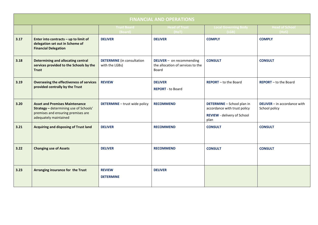|      | <b>FINANCIAL AND OPERATIONS</b>                                                                                                                |                                                     |                                                                         |                                                                                                          |                                                      |  |  |  |
|------|------------------------------------------------------------------------------------------------------------------------------------------------|-----------------------------------------------------|-------------------------------------------------------------------------|----------------------------------------------------------------------------------------------------------|------------------------------------------------------|--|--|--|
|      |                                                                                                                                                | <b>Trust Board</b><br>(Board)                       | <b>Head of Trust</b><br>(HoT)                                           | <b>Local Governing Body</b><br>(LGB)                                                                     | <b>Head of School</b><br>(HoS)                       |  |  |  |
| 3.17 | Enter into contracts $-$ up to limit of<br>delegation set out in Scheme of<br><b>Financial Delegation</b>                                      | <b>DELIVER</b>                                      | <b>DELIVER</b>                                                          | <b>COMPLY</b>                                                                                            | <b>COMPLY</b>                                        |  |  |  |
| 3.18 | <b>Determining and allocating central</b><br>services provided to the Schools by the<br><b>Trust</b>                                           | <b>DETERMINE</b> (in consultation<br>with the LGBs) | DELIVER - on recommending<br>the allocation of services to the<br>Board | <b>CONSULT</b>                                                                                           | <b>CONSULT</b>                                       |  |  |  |
| 3.19 | Overseeing the effectiveness of services<br>provided centrally by the Trust                                                                    | <b>REVIEW</b>                                       | <b>DELIVER</b><br><b>REPORT</b> - to Board                              | <b>REPORT</b> - to the Board                                                                             | <b>REPORT</b> - to the Board                         |  |  |  |
| 3.20 | <b>Asset and Premises Maintenance</b><br>Strategy - determining use of Schools'<br>premises and ensuring premises are<br>adequately maintained | DETERMINE - trust wide policy                       | <b>RECOMMEND</b>                                                        | DETERMINE - School plan in<br>accordance with trust policy<br><b>REVIEW - delivery of School</b><br>plan | <b>DELIVER</b> - in accordance with<br>School policy |  |  |  |
| 3.21 | Acquiring and disposing of Trust land                                                                                                          | <b>DELIVER</b>                                      | <b>RECOMMEND</b>                                                        | <b>CONSULT</b>                                                                                           | <b>CONSULT</b>                                       |  |  |  |
| 3.22 | <b>Changing use of Assets</b>                                                                                                                  | <b>DELIVER</b>                                      | <b>RECOMMEND</b>                                                        | <b>CONSULT</b>                                                                                           | <b>CONSULT</b>                                       |  |  |  |
| 3.23 | Arranging insurance for the Trust                                                                                                              | <b>REVIEW</b><br><b>DETERMINE</b>                   | <b>DELIVER</b>                                                          |                                                                                                          |                                                      |  |  |  |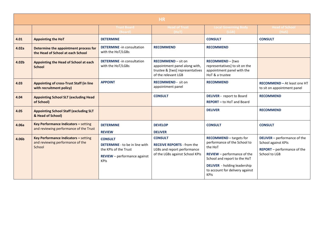| <b>HR</b> |                                                                                    |                                                                                                                                 |                                                                                                                       |                                                                                                                                                                                                                                          |                                                                                                            |  |  |
|-----------|------------------------------------------------------------------------------------|---------------------------------------------------------------------------------------------------------------------------------|-----------------------------------------------------------------------------------------------------------------------|------------------------------------------------------------------------------------------------------------------------------------------------------------------------------------------------------------------------------------------|------------------------------------------------------------------------------------------------------------|--|--|
|           |                                                                                    | <b>Trust Board</b><br>(Board)                                                                                                   | <b>Head of Trust</b><br>(HoT)                                                                                         | <b>Local Governing Body</b><br>(LGB)                                                                                                                                                                                                     | <b>Head of School</b><br>(HoS)                                                                             |  |  |
| 4.01      | <b>Appointing the HoT</b>                                                          | <b>DETERMINE</b>                                                                                                                |                                                                                                                       | <b>CONSULT</b>                                                                                                                                                                                                                           | <b>CONSULT</b>                                                                                             |  |  |
| 4.02a     | Determine the appointment process for<br>the Head of School at each School         | <b>DETERMINE</b> -in consultation<br>with the HoT/LGBs                                                                          | <b>RECOMMEND</b>                                                                                                      | <b>RECOMMEND</b>                                                                                                                                                                                                                         |                                                                                                            |  |  |
| 4.02b     | Appointing the Head of School at each<br><b>School</b>                             | <b>DETERMINE</b> -in consultation<br>with the HoT/LGBs                                                                          | <b>RECOMMEND - sit on</b><br>appointment panel along with,<br>trustee & [two] representatives<br>of the relevant LGB  | <b>RECOMMEND - [two</b><br>representatives] to sit on the<br>appointment panel with the<br>HoT & a trustee                                                                                                                               |                                                                                                            |  |  |
| 4.03      | <b>Appointing of cross-Trust Staff (in line</b><br>with recruitment policy)        | <b>APPOINT</b>                                                                                                                  | <b>RECOMMEND - sit on</b><br>appointment panel                                                                        | <b>RECOMMEND</b>                                                                                                                                                                                                                         | RECOMMEND - At least one HT<br>to sit on appointment panel                                                 |  |  |
| 4.04      | <b>Appointing School SLT (excluding Head)</b><br>of School)                        |                                                                                                                                 | <b>CONSULT</b>                                                                                                        | <b>DELIVER</b> - report to Board<br><b>REPORT</b> - to HoT and Board                                                                                                                                                                     | <b>RECOMMEND</b>                                                                                           |  |  |
| 4.05      | <b>Appointing School Staff (excluding SLT</b><br>& Head of School)                 |                                                                                                                                 |                                                                                                                       | <b>DELIVER</b>                                                                                                                                                                                                                           | <b>RECOMMEND</b>                                                                                           |  |  |
| 4.06a     | Key Performance Indicators - setting<br>and reviewing performance of the Trust     | <b>DETERMINE</b><br><b>REVIEW</b>                                                                                               | <b>DEVELOP</b><br><b>DELIVER</b>                                                                                      | <b>CONSULT</b>                                                                                                                                                                                                                           | <b>CONSULT</b>                                                                                             |  |  |
| 4.06b     | Key Performance Indicators - setting<br>and reviewing performance of the<br>School | <b>CONSULT</b><br><b>DETERMINE</b> - to be in line with<br>the KPIs of the Trust<br>REVIEW - performance against<br><b>KPIs</b> | <b>CONSULT</b><br><b>RECEIVE REPORTS - from the</b><br>LGBs and report performance<br>of the LGBs against School KPIs | <b>RECOMMEND</b> - targets for<br>performance of the School to<br>the HoT<br><b>REVIEW</b> - performance of the<br>School and report to the HoT<br><b>DELIVER</b> - holding leadership<br>to account for delivery against<br><b>KPIs</b> | DELIVER - performance of the<br>School against KPIs<br><b>REPORT</b> - performance of the<br>School to LGB |  |  |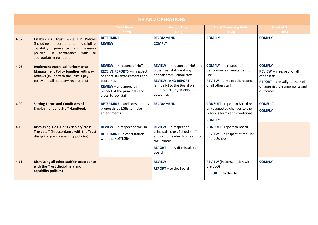| <b>HR AND OPERATIONS</b> |                                                                                                                                                                                                      |                                                                                                                                                                                                    |                                                                                                                                                                                                    |                                                                                                                                |                                                                                                                                           |  |  |
|--------------------------|------------------------------------------------------------------------------------------------------------------------------------------------------------------------------------------------------|----------------------------------------------------------------------------------------------------------------------------------------------------------------------------------------------------|----------------------------------------------------------------------------------------------------------------------------------------------------------------------------------------------------|--------------------------------------------------------------------------------------------------------------------------------|-------------------------------------------------------------------------------------------------------------------------------------------|--|--|
|                          |                                                                                                                                                                                                      | <b>Trust Board</b><br>(Board)                                                                                                                                                                      | <b>Head of Trust</b><br>(HoT)                                                                                                                                                                      | <b>Local Governing Body</b><br>(LGB)                                                                                           | <b>Head of School</b><br>(HoS)                                                                                                            |  |  |
| 4.07                     | <b>Establishing Trust wide HR Policies</b><br>recruitment,<br>(including<br>discipline,<br>capability,<br>grievance and<br>absence<br>policies) in accordance<br>with all<br>appropriate regulations | <b>DETERMINE</b><br><b>REVIEW</b>                                                                                                                                                                  | <b>RECOMMEND</b><br><b>COMPLY</b>                                                                                                                                                                  | <b>COMPLY</b>                                                                                                                  | <b>COMPLY</b>                                                                                                                             |  |  |
| 4.08                     | <b>Implement Appraisal Performance</b><br><b>Management Policy together with pay</b><br>reviews (in line with the Trust's pay<br>policy and all statutory regulations)                               | REVIEW - in respect of HoT<br><b>RECEIVE REPORTS - in respect</b><br>of appraisal arrangements and<br>outcomes<br>$REVIEW - any appeals in$<br>respect of the principals and<br>cross School staff | REVIEW - in respect of HoS and<br>cross trust staff (and any<br>appeals from School staff)<br><b>REVIEW - AND REPORT -</b><br>(annually) to the Board on<br>appraisal arrangements and<br>outcomes | <b>COMPLY</b> - in respect of<br>performance management of<br>HoS<br><b>REVIEW</b> - any appeals respect<br>of all other staff | <b>COMPLY</b><br>$REVIEW - in respect of all$<br>other staff<br>REPORT - annually to the HoT<br>on appraisal arrangements and<br>outcomes |  |  |
| 4.09                     | <b>Setting Terms and Conditions of</b><br><b>Employment and Staff Handbook</b>                                                                                                                       | <b>DETERMINE</b> – and consider any<br>proposals by LGBs to make<br>amendments                                                                                                                     | <b>RECOMMEND</b>                                                                                                                                                                                   | <b>CONSULT</b> - report to Board on<br>any suggested changes to the<br>School's terms and conditions<br><b>COMPLY</b>          | <b>CONSULT</b><br><b>COMPLY</b>                                                                                                           |  |  |
| 4.10                     | Dismissing HoT, HoSs / senior/ cross<br>Trust staff (in accordance with the Trust<br>disciplinary and capability policies)                                                                           | REVIEW - in respect of the HoT<br><b>DETERMINE</b> -in consultation<br>with the HoT/LGBs                                                                                                           | $REVIEW - in respect of$<br>principals, cross School staff<br>and senior leadership teams of<br>the Schools<br><b>REPORT</b> - any dismissals to the<br><b>Board</b>                               | <b>CONSULT</b> - report to Board<br>REVIEW - in respect of the HoS<br>of the School                                            |                                                                                                                                           |  |  |
| 4.11                     | Dismissing all other staff (in accordance<br>with the Trust disciplinary and<br>capability policies)                                                                                                 |                                                                                                                                                                                                    | <b>REVIEW</b><br><b>REPORT</b> $-$ to the Board                                                                                                                                                    | <b>REVIEW</b> (in consultation with<br>the CEO)<br>REPORT - to the HoT                                                         | <b>COMPLY</b>                                                                                                                             |  |  |